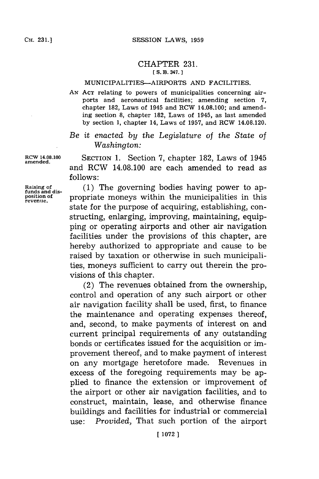## CHAPTER **231. [ S. B. 347.]1**

## MUNICIPALITIES-AIRPORTS **AND** FACILITIES.

**AN ACT** relating to powers of municipalities concerning airports and aeronautical facilities; amending section **7,** chapter **182,** Laws of 1945 and RCW 14.08.100; and amending section **8,** chapter **182,** Laws of 1945, as last amended **by** section **1,** chapter 14, Laws of **1957,** and RCW 14.08.120.

## *Be it enacted by the Legislature of the State of Washington:*

**RCW 14.08.100** SECTION **1.** Section **7,** chapter **182,** Laws of 1945 and RCW 14.08.100 are each amended to read as **follows:**

Raising of **(1)** The governing bodies having power to ap-<br>tunds and dis-<br>position of **property** property within the municipalities in this **position of** propriate moneys within the municipalities in this **revenue.** state for the purpose of acquiring, establishing, constructing, enlarging, improving, maintaining, equipping or operating airports and other air navigation facilities under the provisions of this chapter, are hereby authorized to appropriate and cause to be raised **by** taxation or otherwise in such municipalities, moneys sufficient to carry out therein the provisions of this chapter.

> (2) The revenues obtained from the ownership, control and operation of any such airport or other air navigation facility shall be used, first, to finance the maintenance and operating expenses thereof, and, second, to make payments of interest on and current principal requirements of any outstanding bonds or certificates issued for the acquisition or improvement thereof, and to make payment of interest on any mortgage heretofore made. Revenues in excess of the foregoing requirements may be applied to finance the extension or improvement of the airport or other air navigation facilities, and to construct, maintain, lease, and otherwise finance buildings and facilities for industrial or commercial use: *Provided,* That such portion of the airport

**amended.**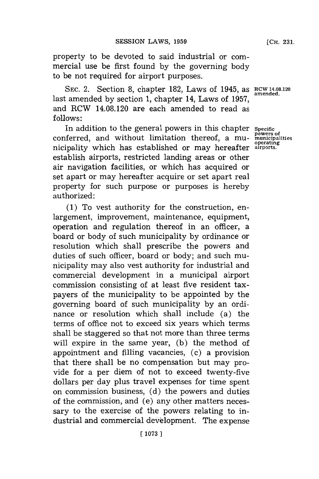property to be devoted to said industrial or commercial use be first found **by** the governing body to be not required for airport purposes.

SEC. 2. Section 8, chapter 182, Laws of 1945, as **RCW 14.08.120** *smended.* last amended **by** section **1,** chapter 14, Laws of **1957,** and RCW 14.08.120 are each amended to read as **follows:**

In addition to the general powers in this chapter *specifi* conferred, and without limitation thereof, a mu- **municipalities** nicipality which has established or may hereafter **airports.** establish airports, restricted landing areas or other air navigation facilities, or which has acquired or set apart or may hereafter acquire or set apart real property for such purpose or purposes is hereby authorized:

**(1)** To vest authority for the construction, enlargement, improvement, maintenance, equipment, operation and regulation thereof in an officer, a board or body of such municipality **by** ordinance or resolution which shall prescribe the powers and duties of such officer, board or body; and such municipality may also vest authority for industrial and commercial development in a municipal airport commission consisting of at least five resident taxpayers of the municipality to be appointed **by** the governing board of such municipality **by** an ordinance or resolution which shall include (a) the terms of office not to exceed six years which terms shall be staggered so that not more than three terms will expire in the same year, **(b)** the method of appointment and filling vacancies, (c) a provision that there shall be no compensation but may provide for a per diem of not to exceed twenty-five dollars per day plus travel expenses for time spent on commission business, **(d)** the powers and duties of the commission, and (e) any other matters necessary to the exercise of the powers relating to industrial and commercial development. The expense **[CH. 231.**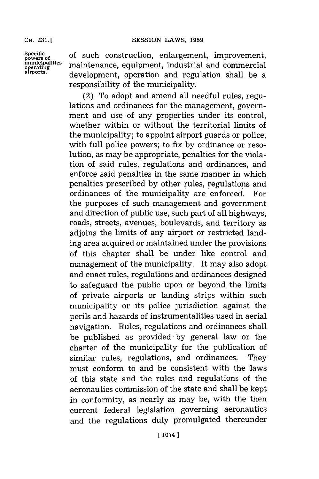**CH. 231.]**

**Specific powers of municipalities operating airports.**

of such construction, enlargement, improvement, maintenance, equipment, industrial and commercial development, operation and regulation shall be a responsibility of the municipality.

(2) To adopt and amend all needful rules, regulations and ordinances for the management, government and use of any properties under its control, whether within or without the territorial limits of the municipality; to appoint airport guards or police, with full police powers; to fix **by** ordinance or resolution, as may be appropriate, penalties for the violation of said rules, regulations and, ordinances, and enforce said penalties in the same manner in which penalties prescribed **by** other rules, regulations and ordinances of the municipality are enforced. For the purposes of such management and government and direction of public use, such part of all highways, roads, streets, avenues, boulevards, and territory as adjoins the limits of any airport or restricted landing area acquired or maintained under the provisions of this chapter shall be under like control and management of the municipality. It may also adopt and enact rules, regulations and ordinances designed to safeguard the public upon or beyond the limits of private airports or landing strips within such municipality or its police jurisdiction against the perils and hazards of instrumentalities used in aerial navigation. Rules, regulations and ordinances shall be published as provided **by** general law or the charter of the municipality for the publication of similar rules, regulations, and ordinances. They must conform to and be consistent with the laws of this state and the rules and regulations of the aeronautics commission of the state and shall be kept in conformity, as nearly as may be, with the then current federal legislation governing aeronautics and the regulations duly promulgated thereunder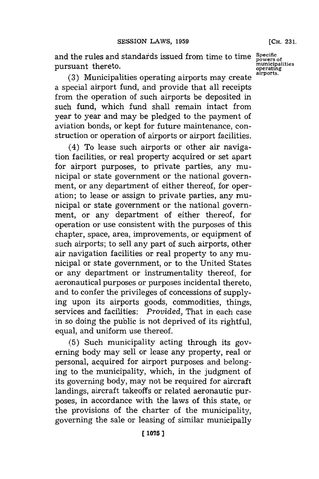and the rules and standards issued from time to time pursuant thereto.

**(3)** Municipalities operating airports may create a special airport fund, and provide that all receipts from the operation of such airports be deposited in such fund, which fund shall remain intact from year to year and may be pledged to the payment of aviation bonds, or kept for future maintenance, construction or operation of airports or airport facilities.

(4) To lease such airports or other air navigation facilities, or real property acquired or set apart for airport purposes, to private parties, any municipal or state government or the national government, or any department of either thereof, for operation; to lease or assign to private parties, any municipal or state government or the national government, or any department of either thereof, for operation or use consistent with the purposes of this chapter, space, area, improvements, or equipment of such airports; to sell any part of such airports, other air navigation facilities or real property to any municipal or state government, or to the United States or any department or instrumentality thereof, for aeronautical purposes or purposes incidental thereto, and to confer the privileges of concessions of supplying upon its airports goods, commodities, things, services and facilities: *Provided,* That in each case in so doing the public is not deprived of its rightful, equal, and uniform use thereof.

**(5)** Such municipality acting through its governing body may sell or lease any property, real or personal, acquired for airport purposes and belonging to the municipality, which, in the judgment of its governing body, may not be required for aircraft landings, aircraft takeoffs or related aeronautic purposes, in accordance with the laws of this state, or the provisions of the charter of the municipality, governing the sale or leasing of similar municipally

**Specific powers of municipalities operating airports.**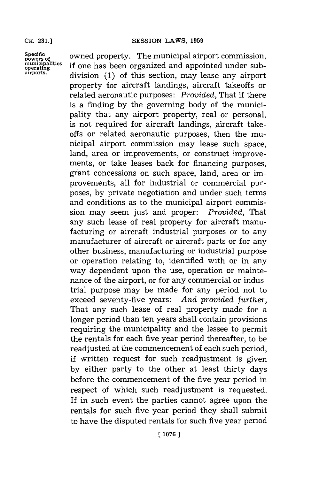**Specific powers of municipalities operating airports.**

owned property. The municipal airport commission, if one has been organized and appointed under subdivision **(1)** of this section, may lease any airport property for aircraft landings, aircraft takeoffs or related aeronautic purposes: *Provided,* That if there is a finding **by** the governing body of the municipality that any airport property, real or personal, is not required for aircraft landings, aircraft takeoffs or related aeronautic purposes, then the municipal airport commission may lease such space, land, area or improvements, or construct improvements, or take leases back for financing purposes, grant concessions on such space, land, area or improvements, all for industrial or commercial purposes, **by** private negotiation and under such terms and conditions as to the municipal airport commission may seem just and proper: *Provided,* That any such lease of real property for aircraft manufacturing or aircraft industrial purposes or to any manufacturer of aircraft or aircraft parts or for any other business, manufacturing or industrial purpose or operation relating to, identified with or in any way dependent upon the use, operation or maintenance of the airport, or **for** any commercial or industrial purpose may be made for any period not to exceed seventy-five years: *And provided further,* That any such lease of real property made for a longer period than ten years shall contain provisions requiring the municipality and the lessee to permit the rentals for each five year period thereafter, to be readjusted at the commencement of each such period, if written request for such readjustment is given **by** either party to the other at least thirty days before the commencement of the five year period in respect of which such readjustment is requested. If in such event the parties cannot agree upon the rentals for such five year period they shall submit to have the disputed rentals for such five year period